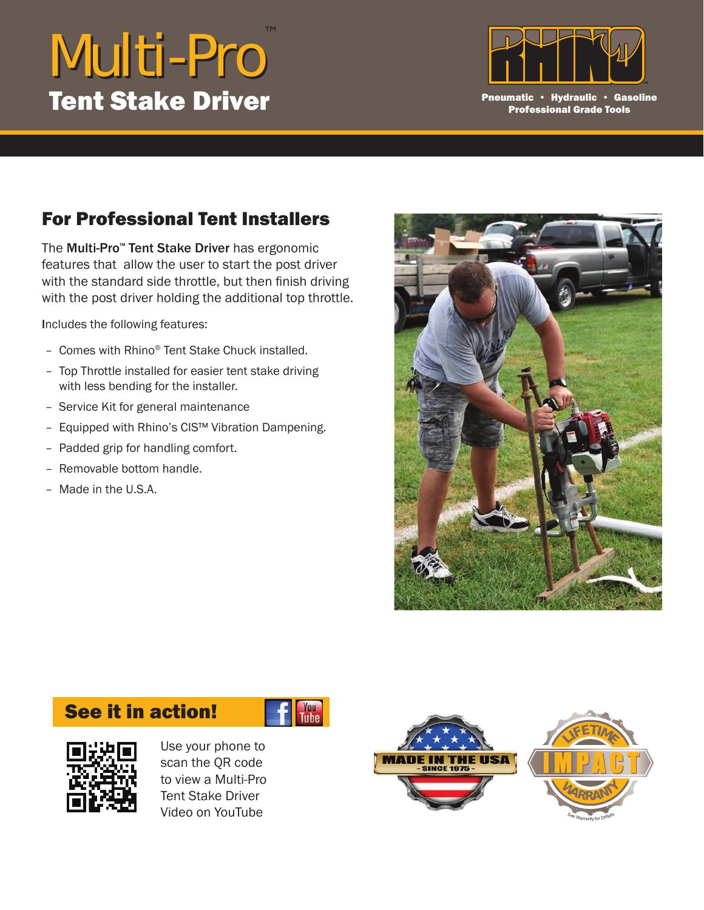## Multi-Pro ™ **Tent Stake Driver** Part 2008 Pheumatic • Hydraulic • Gasoline



Professional Grade Tools

## For Professional Tent Installers

The Multi-Pro<sup>™</sup> Tent Stake Driver has ergonomic features that allow the user to start the post driver with the standard side throttle, but then finish driving with the post driver holding the additional top throttle.

Includes the following features:

- Comes with Rhino® Tent Stake Chuck installed.
- Top Throttle installed for easier tent stake driving with less bending for the installer.
- Service Kit for general maintenance
- Equipped with Rhino's CIS™ Vibration Dampening.
- Padded grip for handling comfort.
- Removable bottom handle.
- Made in the U.S.A.



## See it in action!





Use your phone to scan the QR code to view a Multi-Pro Tent Stake Driver Video on YouTube